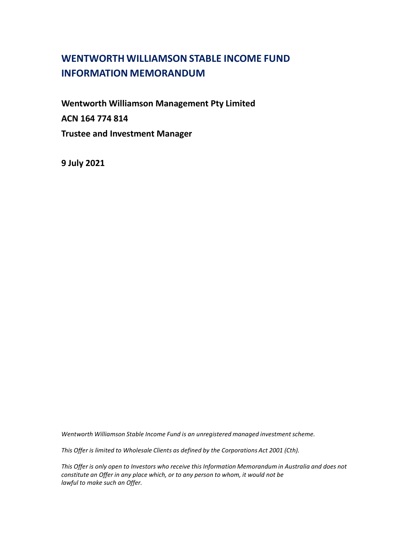# **WENTWORTH WILLIAMSON STABLE INCOME FUND INFORMATION MEMORANDUM**

**Wentworth Williamson Management Pty Limited ACN 164 774 814 Trustee and Investment Manager**

**9 July 2021**

*Wentworth Williamson Stable Income Fund is an unregistered managed investment scheme.* 

*This Offer is limited to Wholesale Clients as defined by the Corporations Act 2001 (Cth).*

*This Offer is only open to Investors who receive this Information Memorandum in Australia and does not constitute an Offer in any place which, or to any person to whom, it would not be lawful to make such an Offer.*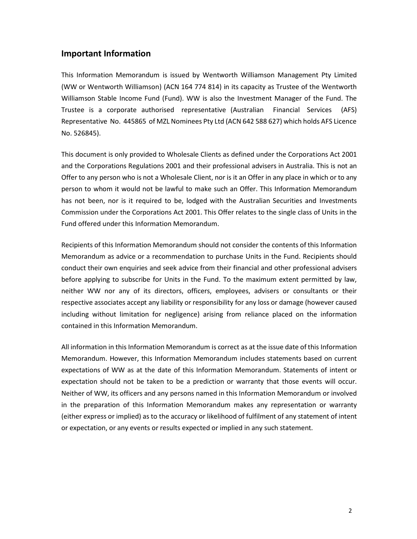## **Important Information**

This Information Memorandum is issued by Wentworth Williamson Management Pty Limited (WW or Wentworth Williamson) (ACN 164 774 814) in its capacity as Trustee of the Wentworth Williamson Stable Income Fund (Fund). WW is also the Investment Manager of the Fund. The Trustee is a corporate authorised representative (Australian Financial Services (AFS) Representative No. 445865 of MZL Nominees Pty Ltd (ACN 642 588 627) which holds AFS Licence No. 526845).

This document is only provided to Wholesale Clients as defined under the Corporations Act 2001 and the Corporations Regulations 2001 and their professional advisers in Australia. This is not an Offer to any person who is not a Wholesale Client, nor is it an Offer in any place in which or to any person to whom it would not be lawful to make such an Offer. This Information Memorandum has not been, nor is it required to be, lodged with the Australian Securities and Investments Commission under the Corporations Act 2001. This Offer relates to the single class of Units in the Fund offered under this Information Memorandum.

Recipients of this Information Memorandum should not consider the contents of this Information Memorandum as advice or a recommendation to purchase Units in the Fund. Recipients should conduct their own enquiries and seek advice from their financial and other professional advisers before applying to subscribe for Units in the Fund. To the maximum extent permitted by law, neither WW nor any of its directors, officers, employees, advisers or consultants or their respective associates accept any liability or responsibility for any loss or damage (however caused including without limitation for negligence) arising from reliance placed on the information contained in this Information Memorandum.

All information in this Information Memorandum is correct as at the issue date of this Information Memorandum. However, this Information Memorandum includes statements based on current expectations of WW as at the date of this Information Memorandum. Statements of intent or expectation should not be taken to be a prediction or warranty that those events will occur. Neither of WW, its officers and any persons named in this Information Memorandum or involved in the preparation of this Information Memorandum makes any representation or warranty (either express or implied) as to the accuracy or likelihood of fulfilment of any statement of intent or expectation, or any events or results expected or implied in any such statement.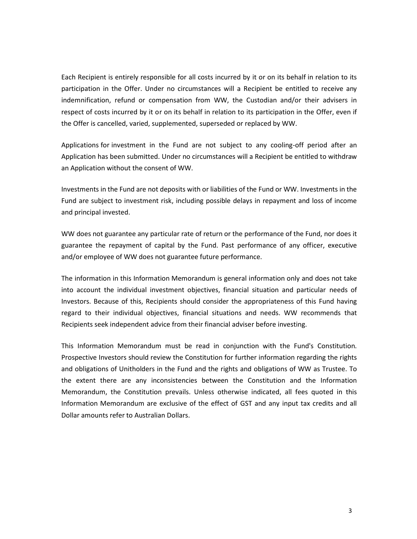Each Recipient is entirely responsible for all costs incurred by it or on its behalf in relation to its participation in the Offer. Under no circumstances will a Recipient be entitled to receive any indemnification, refund or compensation from WW, the Custodian and/or their advisers in respect of costs incurred by it or on its behalf in relation to its participation in the Offer, even if the Offer is cancelled, varied, supplemented, superseded or replaced by WW.

Applications for investment in the Fund are not subject to any cooling-off period after an Application has been submitted. Under no circumstances will a Recipient be entitled to withdraw an Application without the consent of WW.

Investments in the Fund are not deposits with or liabilities of the Fund or WW. Investments in the Fund are subject to investment risk, including possible delays in repayment and loss of income and principal invested.

WW does not guarantee any particular rate of return or the performance of the Fund, nor does it guarantee the repayment of capital by the Fund. Past performance of any officer, executive and/or employee of WW does not guarantee future performance.

The information in this Information Memorandum is general information only and does not take into account the individual investment objectives, financial situation and particular needs of Investors. Because of this, Recipients should consider the appropriateness of this Fund having regard to their individual objectives, financial situations and needs. WW recommends that Recipients seek independent advice from their financial adviser before investing.

This Information Memorandum must be read in conjunction with the Fund's Constitution. Prospective Investors should review the Constitution for further information regarding the rights and obligations of Unitholders in the Fund and the rights and obligations of WW as Trustee. To the extent there are any inconsistencies between the Constitution and the Information Memorandum, the Constitution prevails. Unless otherwise indicated, all fees quoted in this Information Memorandum are exclusive of the effect of GST and any input tax credits and all Dollar amounts refer to Australian Dollars.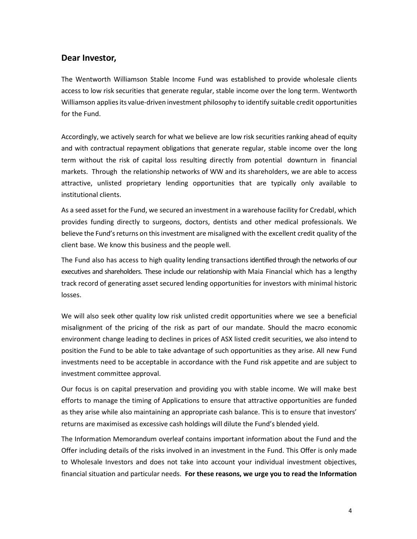# **Dear Investor,**

The Wentworth Williamson Stable Income Fund was established to provide wholesale clients access to low risk securities that generate regular, stable income over the long term. Wentworth Williamson appliesits value-driven investment philosophy to identify suitable credit opportunities for the Fund.

Accordingly, we actively search for what we believe are low risk securities ranking ahead of equity and with contractual repayment obligations that generate regular, stable income over the long term without the risk of capital loss resulting directly from potential downturn in financial markets. Through the relationship networks of WW and its shareholders, we are able to access attractive, unlisted proprietary lending opportunities that are typically only available to institutional clients.

As a seed asset for the Fund, we secured an investment in a warehouse facility for Credabl, which provides funding directly to surgeons, doctors, dentists and other medical professionals. We believe the Fund's returns on this investment are misaligned with the excellent credit quality of the client base. We know this business and the people well.

The Fund also has access to high quality lending transactions identified through the networks of our executives and shareholders. These include our relationship with Maia Financial which has a lengthy track record of generating asset secured lending opportunities for investors with minimal historic losses.

We will also seek other quality low risk unlisted credit opportunities where we see a beneficial misalignment of the pricing of the risk as part of our mandate. Should the macro economic environment change leading to declines in prices of ASX listed credit securities, we also intend to position the Fund to be able to take advantage of such opportunities as they arise. All new Fund investments need to be acceptable in accordance with the Fund risk appetite and are subject to investment committee approval.

Our focus is on capital preservation and providing you with stable income. We will make best efforts to manage the timing of Applications to ensure that attractive opportunities are funded as they arise while also maintaining an appropriate cash balance. This is to ensure that investors' returns are maximised as excessive cash holdings will dilute the Fund's blended yield.

The Information Memorandum overleaf contains important information about the Fund and the Offer including details of the risks involved in an investment in the Fund. This Offer is only made to Wholesale Investors and does not take into account your individual investment objectives, financial situation and particular needs. **For these reasons, we urge you to read the Information**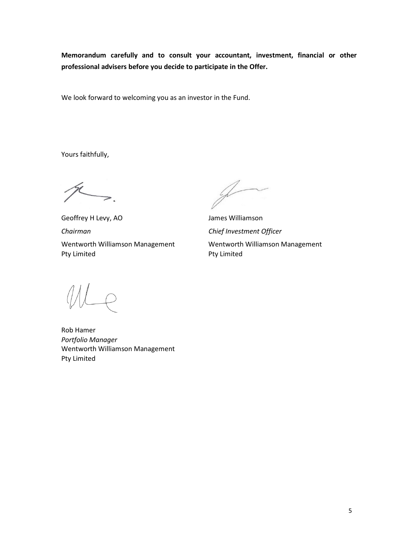**Memorandum carefully and to consult your accountant, investment, financial or other professional advisers before you decide to participate in the Offer.**

We look forward to welcoming you as an investor in the Fund.

Yours faithfully,

 $\gt$ .

Geoffrey H Levy, AO James Williamson *Chairman Chief Investment Officer* Wentworth Williamson Management Pty Limited

 $\rightarrow$ 

Wentworth Williamson Management Pty Limited

Rob Hamer *Portfolio Manager* Wentworth Williamson Management Pty Limited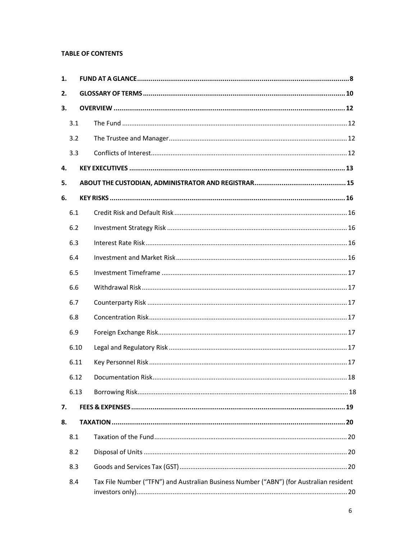### **TABLE OF CONTENTS**

| 1. |      |                                                                                         |
|----|------|-----------------------------------------------------------------------------------------|
| 2. |      |                                                                                         |
| 3. |      |                                                                                         |
|    | 3.1  |                                                                                         |
|    | 3.2  |                                                                                         |
|    | 3.3  |                                                                                         |
| 4. |      |                                                                                         |
| 5. |      |                                                                                         |
| 6. |      |                                                                                         |
|    | 6.1  |                                                                                         |
|    | 6.2  |                                                                                         |
|    | 6.3  |                                                                                         |
|    | 6.4  |                                                                                         |
|    | 6.5  |                                                                                         |
|    | 6.6  |                                                                                         |
|    | 6.7  |                                                                                         |
|    | 6.8  |                                                                                         |
|    | 6.9  |                                                                                         |
|    | 6.10 |                                                                                         |
|    | 6.11 |                                                                                         |
|    | 6.12 | Documentation Risk.<br>18                                                               |
|    | 6.13 |                                                                                         |
| 7. |      |                                                                                         |
| 8. |      |                                                                                         |
|    | 8.1  |                                                                                         |
|    | 8.2  |                                                                                         |
|    | 8.3  |                                                                                         |
|    | 8.4  | Tax File Number ("TFN") and Australian Business Number ("ABN") (for Australian resident |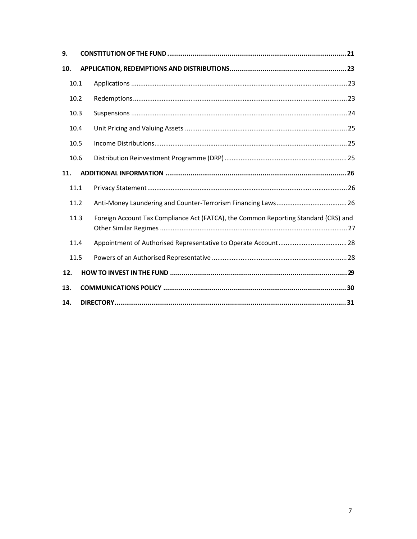| 9.  |      |                                                                                     |  |
|-----|------|-------------------------------------------------------------------------------------|--|
| 10. |      |                                                                                     |  |
|     | 10.1 |                                                                                     |  |
|     | 10.2 |                                                                                     |  |
|     | 10.3 |                                                                                     |  |
|     | 10.4 |                                                                                     |  |
|     | 10.5 |                                                                                     |  |
|     | 10.6 |                                                                                     |  |
| 11. |      |                                                                                     |  |
|     | 11.1 |                                                                                     |  |
|     | 11.2 |                                                                                     |  |
|     | 11.3 | Foreign Account Tax Compliance Act (FATCA), the Common Reporting Standard (CRS) and |  |
|     | 11.4 |                                                                                     |  |
|     | 11.5 |                                                                                     |  |
| 12. |      |                                                                                     |  |
| 13. |      |                                                                                     |  |
| 14. |      |                                                                                     |  |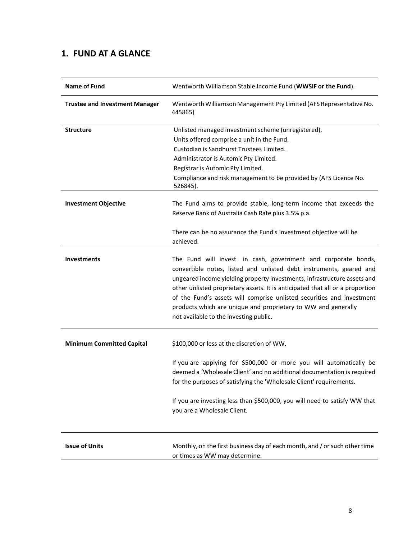# **1. FUND AT A GLANCE**

| <b>Name of Fund</b>                   | Wentworth Williamson Stable Income Fund (WWSIF or the Fund).                                                                                                                                                                                                                                                                                                                                                                                                                          |
|---------------------------------------|---------------------------------------------------------------------------------------------------------------------------------------------------------------------------------------------------------------------------------------------------------------------------------------------------------------------------------------------------------------------------------------------------------------------------------------------------------------------------------------|
| <b>Trustee and Investment Manager</b> | Wentworth Williamson Management Pty Limited (AFS Representative No.<br>445865)                                                                                                                                                                                                                                                                                                                                                                                                        |
| <b>Structure</b>                      | Unlisted managed investment scheme (unregistered).                                                                                                                                                                                                                                                                                                                                                                                                                                    |
|                                       | Units offered comprise a unit in the Fund.                                                                                                                                                                                                                                                                                                                                                                                                                                            |
|                                       | Custodian is Sandhurst Trustees Limited.                                                                                                                                                                                                                                                                                                                                                                                                                                              |
|                                       | Administrator is Automic Pty Limited.                                                                                                                                                                                                                                                                                                                                                                                                                                                 |
|                                       | Registrar is Automic Pty Limited.                                                                                                                                                                                                                                                                                                                                                                                                                                                     |
|                                       | Compliance and risk management to be provided by (AFS Licence No.<br>526845).                                                                                                                                                                                                                                                                                                                                                                                                         |
| <b>Investment Objective</b>           | The Fund aims to provide stable, long-term income that exceeds the<br>Reserve Bank of Australia Cash Rate plus 3.5% p.a.                                                                                                                                                                                                                                                                                                                                                              |
|                                       | There can be no assurance the Fund's investment objective will be<br>achieved.                                                                                                                                                                                                                                                                                                                                                                                                        |
| Investments                           | The Fund will invest in cash, government and corporate bonds,<br>convertible notes, listed and unlisted debt instruments, geared and<br>ungeared income yielding property investments, infrastructure assets and<br>other unlisted proprietary assets. It is anticipated that all or a proportion<br>of the Fund's assets will comprise unlisted securities and investment<br>products which are unique and proprietary to WW and generally<br>not available to the investing public. |
| <b>Minimum Committed Capital</b>      | \$100,000 or less at the discretion of WW.                                                                                                                                                                                                                                                                                                                                                                                                                                            |
|                                       | If you are applying for \$500,000 or more you will automatically be<br>deemed a 'Wholesale Client' and no additional documentation is required<br>for the purposes of satisfying the 'Wholesale Client' requirements.                                                                                                                                                                                                                                                                 |
|                                       | If you are investing less than \$500,000, you will need to satisfy WW that<br>you are a Wholesale Client.                                                                                                                                                                                                                                                                                                                                                                             |
| <b>Issue of Units</b>                 | Monthly, on the first business day of each month, and / or such other time<br>or times as WW may determine.                                                                                                                                                                                                                                                                                                                                                                           |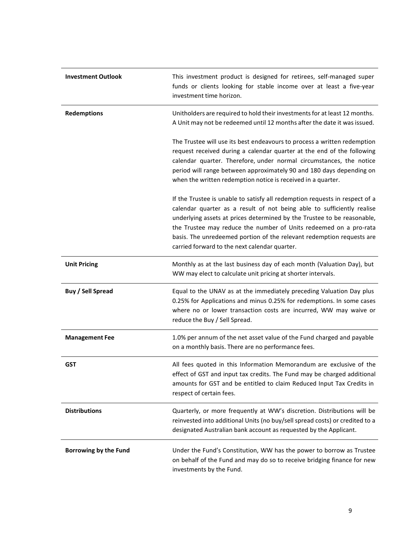| <b>Investment Outlook</b>    | This investment product is designed for retirees, self-managed super<br>funds or clients looking for stable income over at least a five-year<br>investment time horizon.                                                                                                                                                                                                                                                        |
|------------------------------|---------------------------------------------------------------------------------------------------------------------------------------------------------------------------------------------------------------------------------------------------------------------------------------------------------------------------------------------------------------------------------------------------------------------------------|
| <b>Redemptions</b>           | Unitholders are required to hold their investments for at least 12 months.<br>A Unit may not be redeemed until 12 months after the date it was issued.                                                                                                                                                                                                                                                                          |
|                              | The Trustee will use its best endeavours to process a written redemption<br>request received during a calendar quarter at the end of the following<br>calendar quarter. Therefore, under normal circumstances, the notice<br>period will range between approximately 90 and 180 days depending on<br>when the written redemption notice is received in a quarter.                                                               |
|                              | If the Trustee is unable to satisfy all redemption requests in respect of a<br>calendar quarter as a result of not being able to sufficiently realise<br>underlying assets at prices determined by the Trustee to be reasonable,<br>the Trustee may reduce the number of Units redeemed on a pro-rata<br>basis. The unredeemed portion of the relevant redemption requests are<br>carried forward to the next calendar quarter. |
| <b>Unit Pricing</b>          | Monthly as at the last business day of each month (Valuation Day), but<br>WW may elect to calculate unit pricing at shorter intervals.                                                                                                                                                                                                                                                                                          |
| <b>Buy / Sell Spread</b>     | Equal to the UNAV as at the immediately preceding Valuation Day plus<br>0.25% for Applications and minus 0.25% for redemptions. In some cases<br>where no or lower transaction costs are incurred, WW may waive or<br>reduce the Buy / Sell Spread.                                                                                                                                                                             |
| <b>Management Fee</b>        | 1.0% per annum of the net asset value of the Fund charged and payable<br>on a monthly basis. There are no performance fees.                                                                                                                                                                                                                                                                                                     |
| <b>GST</b>                   | All fees quoted in this Information Memorandum are exclusive of the<br>effect of GST and input tax credits. The Fund may be charged additional<br>amounts for GST and be entitled to claim Reduced Input Tax Credits in<br>respect of certain fees.                                                                                                                                                                             |
| <b>Distributions</b>         | Quarterly, or more frequently at WW's discretion. Distributions will be<br>reinvested into additional Units (no buy/sell spread costs) or credited to a<br>designated Australian bank account as requested by the Applicant.                                                                                                                                                                                                    |
| <b>Borrowing by the Fund</b> | Under the Fund's Constitution, WW has the power to borrow as Trustee<br>on behalf of the Fund and may do so to receive bridging finance for new<br>investments by the Fund.                                                                                                                                                                                                                                                     |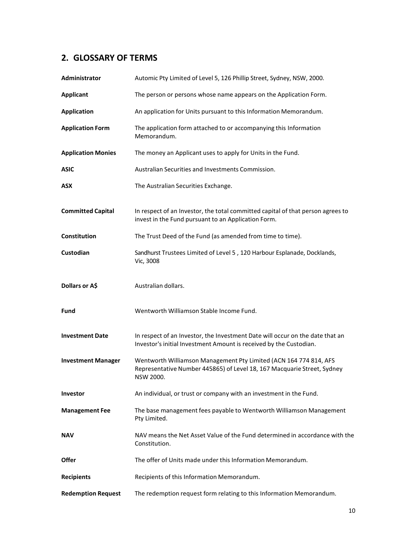# **2. GLOSSARY OF TERMS**

| Administrator             | Automic Pty Limited of Level 5, 126 Phillip Street, Sydney, NSW, 2000.                                                                                    |
|---------------------------|-----------------------------------------------------------------------------------------------------------------------------------------------------------|
| <b>Applicant</b>          | The person or persons whose name appears on the Application Form.                                                                                         |
| <b>Application</b>        | An application for Units pursuant to this Information Memorandum.                                                                                         |
| <b>Application Form</b>   | The application form attached to or accompanying this Information<br>Memorandum.                                                                          |
| <b>Application Monies</b> | The money an Applicant uses to apply for Units in the Fund.                                                                                               |
| <b>ASIC</b>               | Australian Securities and Investments Commission.                                                                                                         |
| ASX                       | The Australian Securities Exchange.                                                                                                                       |
| <b>Committed Capital</b>  | In respect of an Investor, the total committed capital of that person agrees to<br>invest in the Fund pursuant to an Application Form.                    |
| <b>Constitution</b>       | The Trust Deed of the Fund (as amended from time to time).                                                                                                |
| Custodian                 | Sandhurst Trustees Limited of Level 5, 120 Harbour Esplanade, Docklands,<br>Vic, 3008                                                                     |
| Dollars or A\$            | Australian dollars.                                                                                                                                       |
| Fund                      | Wentworth Williamson Stable Income Fund.                                                                                                                  |
| <b>Investment Date</b>    | In respect of an Investor, the Investment Date will occur on the date that an<br>Investor's initial Investment Amount is received by the Custodian.       |
| <b>Investment Manager</b> | Wentworth Williamson Management Pty Limited (ACN 164 774 814, AFS<br>Representative Number 445865) of Level 18, 167 Macquarie Street, Sydney<br>NSW 2000. |
| Investor                  | An individual, or trust or company with an investment in the Fund.                                                                                        |
| <b>Management Fee</b>     | The base management fees payable to Wentworth Williamson Management<br>Pty Limited.                                                                       |
| <b>NAV</b>                | NAV means the Net Asset Value of the Fund determined in accordance with the<br>Constitution.                                                              |
| <b>Offer</b>              | The offer of Units made under this Information Memorandum.                                                                                                |
| <b>Recipients</b>         | Recipients of this Information Memorandum.                                                                                                                |
| <b>Redemption Request</b> | The redemption request form relating to this Information Memorandum.                                                                                      |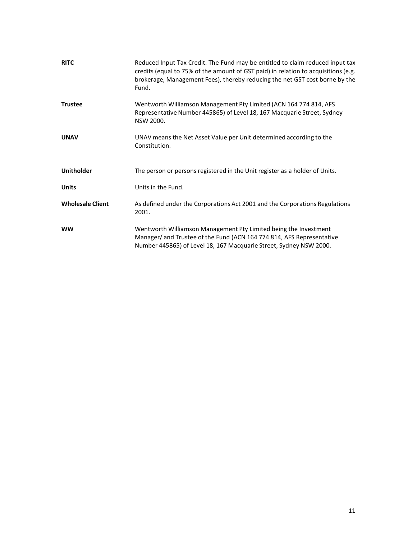| <b>RITC</b>             | Reduced Input Tax Credit. The Fund may be entitled to claim reduced input tax<br>credits (equal to 75% of the amount of GST paid) in relation to acquisitions (e.g.<br>brokerage, Management Fees), thereby reducing the net GST cost borne by the<br>Fund. |
|-------------------------|-------------------------------------------------------------------------------------------------------------------------------------------------------------------------------------------------------------------------------------------------------------|
| <b>Trustee</b>          | Wentworth Williamson Management Pty Limited (ACN 164 774 814, AFS<br>Representative Number 445865) of Level 18, 167 Macquarie Street, Sydney<br>NSW 2000.                                                                                                   |
| <b>UNAV</b>             | UNAV means the Net Asset Value per Unit determined according to the<br>Constitution.                                                                                                                                                                        |
| <b>Unitholder</b>       | The person or persons registered in the Unit register as a holder of Units.                                                                                                                                                                                 |
| <b>Units</b>            | Units in the Fund.                                                                                                                                                                                                                                          |
| <b>Wholesale Client</b> | As defined under the Corporations Act 2001 and the Corporations Regulations<br>2001.                                                                                                                                                                        |
| <b>WW</b>               | Wentworth Williamson Management Pty Limited being the Investment<br>Manager/ and Trustee of the Fund (ACN 164 774 814, AFS Representative<br>Number 445865) of Level 18, 167 Macquarie Street, Sydney NSW 2000.                                             |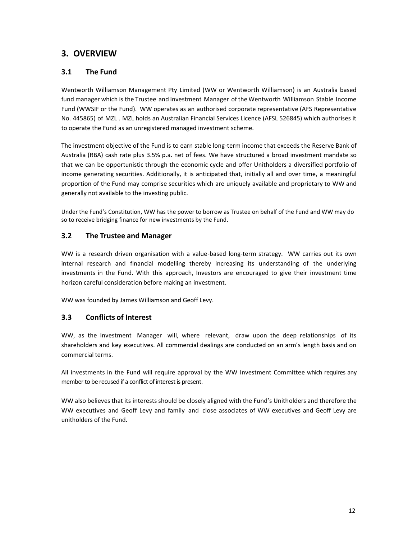# **3. OVERVIEW**

### **3.1 The Fund**

Wentworth Williamson Management Pty Limited (WW or Wentworth Williamson) is an Australia based fund manager which is the Trustee and Investment Manager of the Wentworth Williamson Stable Income Fund (WWSIF or the Fund). WW operates as an authorised corporate representative (AFS Representative No. 445865) of MZL . MZL holds an Australian Financial Services Licence (AFSL 526845) which authorises it to operate the Fund as an unregistered managed investment scheme.

The investment objective of the Fund is to earn stable long-term income that exceeds the Reserve Bank of Australia (RBA) cash rate plus 3.5% p.a. net of fees. We have structured a broad investment mandate so that we can be opportunistic through the economic cycle and offer Unitholders a diversified portfolio of income generating securities. Additionally, it is anticipated that, initially all and over time, a meaningful proportion of the Fund may comprise securities which are uniquely available and proprietary to WW and generally not available to the investing public.

Under the Fund's Constitution, WW has the power to borrow as Trustee on behalf of the Fund and WW may do so to receive bridging finance for new investments by the Fund.

### **3.2 The Trustee and Manager**

WW is a research driven organisation with a value-based long-term strategy. WW carries out its own internal research and financial modelling thereby increasing its understanding of the underlying investments in the Fund. With this approach, Investors are encouraged to give their investment time horizon careful consideration before making an investment.

WW was founded by James Williamson and Geoff Levy.

### **3.3 Conflicts of Interest**

WW, as the Investment Manager will, where relevant, draw upon the deep relationships of its shareholders and key executives. All commercial dealings are conducted on an arm's length basis and on commercial terms.

All investments in the Fund will require approval by the WW Investment Committee which requires any member to be recused if a conflict of interest is present.

WW also believes that its interests should be closely aligned with the Fund's Unitholders and therefore the WW executives and Geoff Levy and family and close associates of WW executives and Geoff Levy are unitholders of the Fund.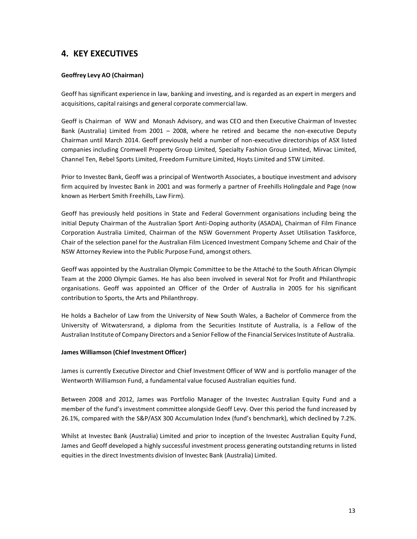# **4. KEY EXECUTIVES**

### **Geoffrey Levy AO (Chairman)**

Geoff has significant experience in law, banking and investing, and is regarded as an expert in mergers and acquisitions, capital raisings and general corporate commercial law.

Geoff is Chairman of WW and Monash Advisory, and was CEO and then Executive Chairman of Investec Bank (Australia) Limited from 2001 – 2008, where he retired and became the non-executive Deputy Chairman until March 2014. Geoff previously held a number of non-executive directorships of ASX listed companies including Cromwell Property Group Limited, Specialty Fashion Group Limited, Mirvac Limited, Channel Ten, Rebel Sports Limited, Freedom Furniture Limited, Hoyts Limited and STW Limited.

Prior to Investec Bank, Geoff was a principal of Wentworth Associates, a boutique investment and advisory firm acquired by Investec Bank in 2001 and was formerly a partner of Freehills Holingdale and Page (now known as Herbert Smith Freehills, Law Firm).

Geoff has previously held positions in State and Federal Government organisations including being the initial Deputy Chairman of the Australian Sport Anti-Doping authority (ASADA), Chairman of Film Finance Corporation Australia Limited, Chairman of the NSW Government Property Asset Utilisation Taskforce, Chair of the selection panel for the Australian Film Licenced Investment Company Scheme and Chair of the NSW Attorney Review into the Public Purpose Fund, amongst others.

Geoff was appointed by the Australian Olympic Committee to be the Attaché to the South African Olympic Team at the 2000 Olympic Games. He has also been involved in several Not for Profit and Philanthropic organisations. Geoff was appointed an Officer of the Order of Australia in 2005 for his significant contribution to Sports, the Arts and Philanthropy.

He holds a Bachelor of Law from the University of New South Wales, a Bachelor of Commerce from the University of Witwatersrand, a diploma from the Securities Institute of Australia, is a Fellow of the Australian Institute of Company Directors and a Senior Fellow of the Financial Services Institute of Australia.

#### **James Williamson (Chief Investment Officer)**

James is currently Executive Director and Chief Investment Officer of WW and is portfolio manager of the Wentworth Williamson Fund, a fundamental value focused Australian equities fund.

Between 2008 and 2012, James was Portfolio Manager of the Investec Australian Equity Fund and a member of the fund's investment committee alongside Geoff Levy. Over this period the fund increased by 26.1%, compared with the S&P/ASX 300 Accumulation Index (fund's benchmark), which declined by 7.2%.

Whilst at Investec Bank (Australia) Limited and prior to inception of the Investec Australian Equity Fund, James and Geoff developed a highly successful investment process generating outstanding returns in listed equities in the direct Investments division of Investec Bank (Australia) Limited.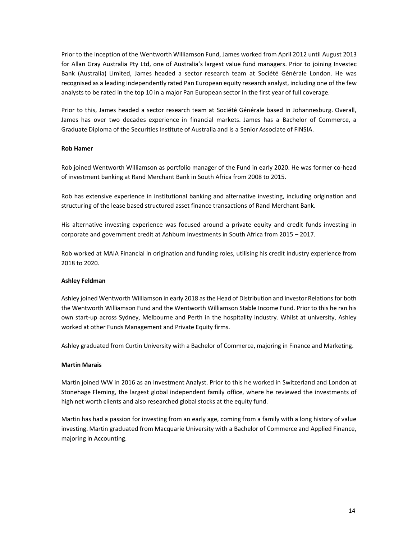Prior to the inception of the Wentworth Williamson Fund, James worked from April 2012 until August 2013 for Allan Gray Australia Pty Ltd, one of Australia's largest value fund managers. Prior to joining Investec Bank (Australia) Limited, James headed a sector research team at Société Générale London. He was recognised as a leading independently rated Pan European equity research analyst, including one of the few analysts to be rated in the top 10 in a major Pan European sector in the first year of full coverage.

Prior to this, James headed a sector research team at Société Générale based in Johannesburg. Overall, James has over two decades experience in financial markets. James has a Bachelor of Commerce, a Graduate Diploma of the Securities Institute of Australia and is a Senior Associate of FINSIA.

#### **Rob Hamer**

Rob joined Wentworth Williamson as portfolio manager of the Fund in early 2020. He was former co-head of investment banking at Rand Merchant Bank in South Africa from 2008 to 2015.

Rob has extensive experience in institutional banking and alternative investing, including origination and structuring of the lease based structured asset finance transactions of Rand Merchant Bank.

His alternative investing experience was focused around a private equity and credit funds investing in corporate and government credit at Ashburn Investments in South Africa from 2015 – 2017.

Rob worked at MAIA Financial in origination and funding roles, utilising his credit industry experience from 2018 to 2020.

#### **Ashley Feldman**

Ashley joined Wentworth Williamson in early 2018 as the Head of Distribution and Investor Relations for both the Wentworth Williamson Fund and the Wentworth Williamson Stable Income Fund. Prior to this he ran his own start-up across Sydney, Melbourne and Perth in the hospitality industry. Whilst at university, Ashley worked at other Funds Management and Private Equity firms.

Ashley graduated from Curtin University with a Bachelor of Commerce, majoring in Finance and Marketing.

#### **Martin Marais**

Martin joined WW in 2016 as an Investment Analyst. Prior to this he worked in Switzerland and London at Stonehage Fleming, the largest global independent family office, where he reviewed the investments of high net worth clients and also researched global stocks at the equity fund.

Martin has had a passion for investing from an early age, coming from a family with a long history of value investing. Martin graduated from Macquarie University with a Bachelor of Commerce and Applied Finance, majoring in Accounting.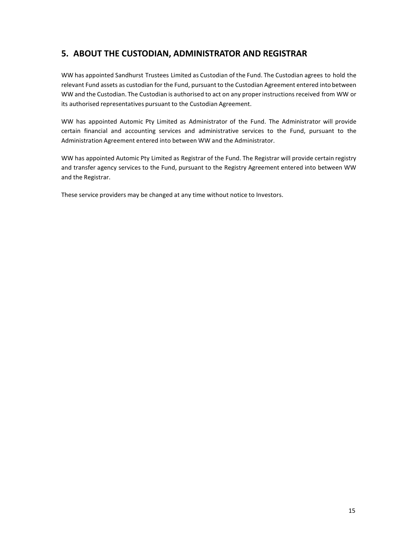# **5. ABOUT THE CUSTODIAN, ADMINISTRATOR AND REGISTRAR**

WW has appointed Sandhurst Trustees Limited as Custodian of the Fund. The Custodian agrees to hold the relevant Fund assets as custodian for the Fund, pursuant to the Custodian Agreement entered into between WW and the Custodian. The Custodian is authorised to act on any proper instructions received from WW or its authorised representatives pursuant to the Custodian Agreement.

WW has appointed Automic Pty Limited as Administrator of the Fund. The Administrator will provide certain financial and accounting services and administrative services to the Fund, pursuant to the Administration Agreement entered into between WW and the Administrator.

WW has appointed Automic Pty Limited as Registrar of the Fund. The Registrar will provide certain registry and transfer agency services to the Fund, pursuant to the Registry Agreement entered into between WW and the Registrar.

These service providers may be changed at any time without notice to Investors.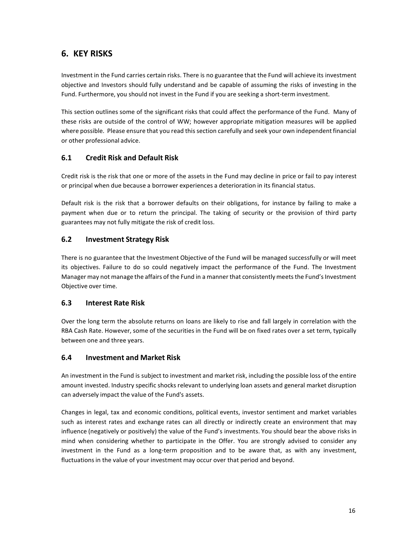# **6. KEY RISKS**

Investment in the Fund carries certain risks. There is no guarantee that the Fund will achieve its investment objective and Investors should fully understand and be capable of assuming the risks of investing in the Fund. Furthermore, you should not invest in the Fund if you are seeking a short-term investment.

This section outlines some of the significant risks that could affect the performance of the Fund. Many of these risks are outside of the control of WW; however appropriate mitigation measures will be applied where possible. Please ensure that you read this section carefully and seek your own independent financial or other professional advice.

### **6.1 Credit Risk and Default Risk**

Credit risk is the risk that one or more of the assets in the Fund may decline in price or fail to pay interest or principal when due because a borrower experiences a deterioration in its financial status.

Default risk is the risk that a borrower defaults on their obligations, for instance by failing to make a payment when due or to return the principal. The taking of security or the provision of third party guarantees may not fully mitigate the risk of credit loss.

## **6.2 Investment Strategy Risk**

There is no guarantee that the Investment Objective of the Fund will be managed successfully or will meet its objectives. Failure to do so could negatively impact the performance of the Fund. The Investment Manager may not manage the affairs of the Fund in a manner that consistently meets the Fund's Investment Objective over time.

### **6.3 Interest Rate Risk**

Over the long term the absolute returns on loans are likely to rise and fall largely in correlation with the RBA Cash Rate. However, some of the securities in the Fund will be on fixed rates over a set term, typically between one and three years.

### **6.4 Investment and Market Risk**

An investment in the Fund is subject to investment and market risk, including the possible loss of the entire amount invested. Industry specific shocks relevant to underlying loan assets and general market disruption can adversely impact the value of the Fund's assets.

Changes in legal, tax and economic conditions, political events, investor sentiment and market variables such as interest rates and exchange rates can all directly or indirectly create an environment that may influence (negatively or positively) the value of the Fund's investments. You should bear the above risks in mind when considering whether to participate in the Offer. You are strongly advised to consider any investment in the Fund as a long-term proposition and to be aware that, as with any investment, fluctuations in the value of your investment may occur over that period and beyond.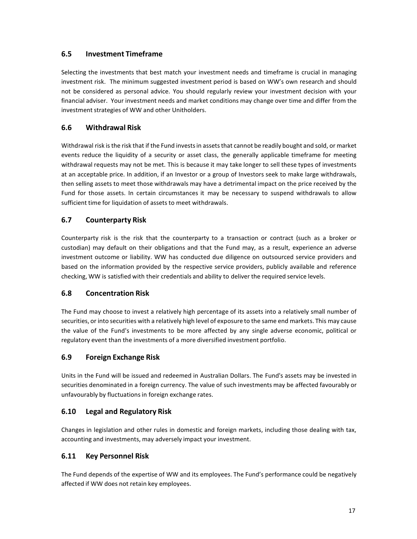### **6.5 Investment Timeframe**

Selecting the investments that best match your investment needs and timeframe is crucial in managing investment risk. The minimum suggested investment period is based on WW's own research and should not be considered as personal advice. You should regularly review your investment decision with your financial adviser. Your investment needs and market conditions may change over time and differ from the investment strategies of WW and other Unitholders.

### **6.6 Withdrawal Risk**

Withdrawal risk isthe risk that if the Fund investsin assetsthat cannot be readily bought and sold, or market events reduce the liquidity of a security or asset class, the generally applicable timeframe for meeting withdrawal requests may not be met. This is because it may take longer to sell these types of investments at an acceptable price. In addition, if an Investor or a group of Investors seek to make large withdrawals, then selling assets to meet those withdrawals may have a detrimental impact on the price received by the Fund for those assets. In certain circumstances it may be necessary to suspend withdrawals to allow sufficient time for liquidation of assets to meet withdrawals.

### **6.7 Counterparty Risk**

Counterparty risk is the risk that the counterparty to a transaction or contract (such as a broker or custodian) may default on their obligations and that the Fund may, as a result, experience an adverse investment outcome or liability. WW has conducted due diligence on outsourced service providers and based on the information provided by the respective service providers, publicly available and reference checking, WW is satisfied with their credentials and ability to deliver the required service levels.

### **6.8 Concentration Risk**

The Fund may choose to invest a relatively high percentage of its assets into a relatively small number of securities, or into securities with a relatively high level of exposure to the same end markets. This may cause the value of the Fund's investments to be more affected by any single adverse economic, political or regulatory event than the investments of a more diversified investment portfolio.

### **6.9 Foreign Exchange Risk**

Units in the Fund will be issued and redeemed in Australian Dollars. The Fund's assets may be invested in securities denominated in a foreign currency. The value of such investments may be affected favourably or unfavourably by fluctuations in foreign exchange rates.

### **6.10 Legal and Regulatory Risk**

Changes in legislation and other rules in domestic and foreign markets, including those dealing with tax, accounting and investments, may adversely impact your investment.

### **6.11 Key Personnel Risk**

The Fund depends of the expertise of WW and its employees. The Fund's performance could be negatively affected if WW does not retain key employees.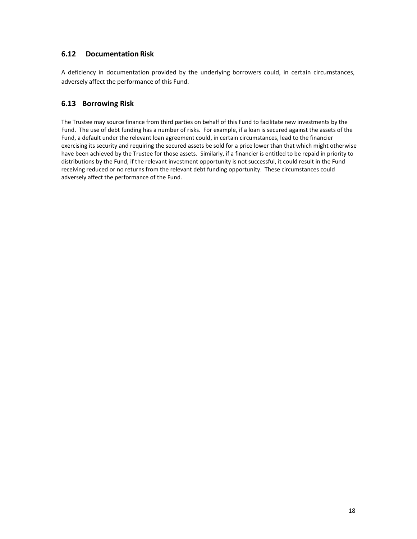### **6.12 Documentation Risk**

A deficiency in documentation provided by the underlying borrowers could, in certain circumstances, adversely affect the performance of this Fund.

### **6.13 Borrowing Risk**

The Trustee may source finance from third parties on behalf of this Fund to facilitate new investments by the Fund. The use of debt funding has a number of risks. For example, if a loan is secured against the assets of the Fund, a default under the relevant loan agreement could, in certain circumstances, lead to the financier exercising its security and requiring the secured assets be sold for a price lower than that which might otherwise have been achieved by the Trustee for those assets. Similarly, if a financier is entitled to be repaid in priority to distributions by the Fund, if the relevant investment opportunity is not successful, it could result in the Fund receiving reduced or no returns from the relevant debt funding opportunity. These circumstances could adversely affect the performance of the Fund.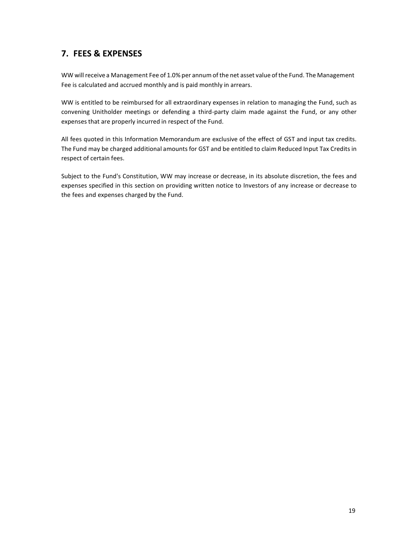# **7. FEES & EXPENSES**

WW will receive a Management Fee of 1.0% per annum of the net asset value of the Fund. The Management Fee is calculated and accrued monthly and is paid monthly in arrears.

WW is entitled to be reimbursed for all extraordinary expenses in relation to managing the Fund, such as convening Unitholder meetings or defending a third-party claim made against the Fund, or any other expenses that are properly incurred in respect of the Fund.

All fees quoted in this Information Memorandum are exclusive of the effect of GST and input tax credits. The Fund may be charged additional amounts for GST and be entitled to claim Reduced Input Tax Credits in respect of certain fees.

Subject to the Fund's Constitution, WW may increase or decrease, in its absolute discretion, the fees and expenses specified in this section on providing written notice to Investors of any increase or decrease to the fees and expenses charged by the Fund.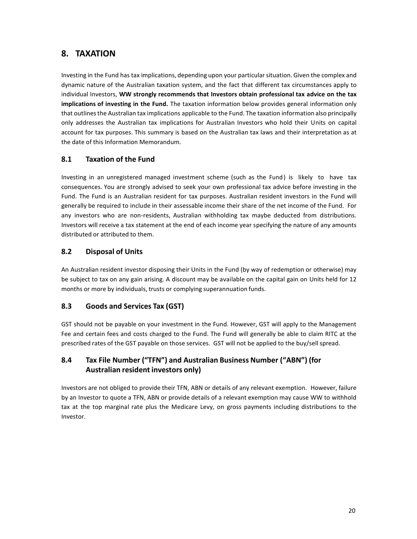# **8. TAXATION**

Investing in the Fund has tax implications, depending upon your particularsituation. Given the complex and dynamic nature of the Australian taxation system, and the fact that different tax circumstances apply to individual Investors, **WW strongly recommends that Investors obtain professional tax advice on the tax implications of investing in the Fund.** The taxation information below provides general information only that outlinesthe Australian tax implications applicable to the Fund. The taxation information also principally only addresses the Australian tax implications for Australian Investors who hold their Units on capital account for tax purposes. This summary is based on the Australian tax laws and their interpretation as at the date of this Information Memorandum.

## **8.1 Taxation of the Fund**

Investing in an unregistered managed investment scheme (such as the Fund) is likely to have tax consequences. You are strongly advised to seek your own professional tax advice before investing in the Fund. The Fund is an Australian resident for tax purposes. Australian resident investors in the Fund will generally be required to include in their assessable income their share of the net income of the Fund. For any investors who are non-residents, Australian withholding tax maybe deducted from distributions. Investors will receive a tax statement at the end of each income year specifying the nature of any amounts distributed or attributed to them.

## **8.2 Disposal of Units**

An Australian resident investor disposing their Units in the Fund (by way of redemption or otherwise) may be subject to tax on any gain arising. A discount may be available on the capital gain on Units held for 12 months or more by individuals, trusts or complying superannuation funds.

### **8.3 Goods and Services Tax (GST)**

GST should not be payable on your investment in the Fund. However, GST will apply to the Management Fee and certain fees and costs charged to the Fund. The Fund will generally be able to claim RITC at the prescribed rates of the GST payable on those services. GST will not be applied to the buy/sellspread.

## **8.4 Tax File Number ("TFN") and Australian Business Number ("ABN") (for Australian resident investors only)**

Investors are not obliged to provide their TFN, ABN or details of any relevant exemption. However, failure by an Investor to quote a TFN, ABN or provide details of a relevant exemption may cause WW to withhold tax at the top marginal rate plus the Medicare Levy, on gross payments including distributions to the Investor.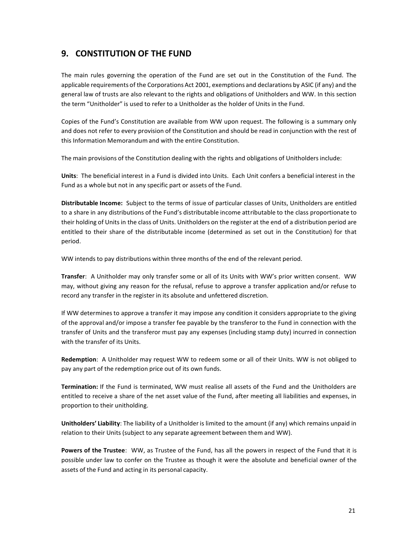# **9. CONSTITUTION OF THE FUND**

The main rules governing the operation of the Fund are set out in the Constitution of the Fund. The applicable requirements of the Corporations Act 2001, exemptions and declarations by ASIC (if any) and the general law of trusts are also relevant to the rights and obligations of Unitholders and WW. In this section the term "Unitholder" is used to refer to a Unitholder as the holder of Units in the Fund.

Copies of the Fund's Constitution are available from WW upon request. The following is a summary only and does not refer to every provision of the Constitution and should be read in conjunction with the rest of this Information Memorandum and with the entire Constitution.

The main provisions of the Constitution dealing with the rights and obligations of Unitholdersinclude:

**Units**: The beneficial interest in a Fund is divided into Units. Each Unit confers a beneficial interest in the Fund as a whole but not in any specific part or assets of the Fund.

**Distributable Income:** Subject to the terms of issue of particular classes of Units, Unitholders are entitled to a share in any distributions of the Fund's distributable income attributable to the class proportionate to their holding of Units in the class of Units. Unitholders on the register at the end of a distribution period are entitled to their share of the distributable income (determined as set out in the Constitution) for that period.

WW intends to pay distributions within three months of the end of the relevant period.

**Transfer**: A Unitholder may only transfer some or all of its Units with WW's prior written consent. WW may, without giving any reason for the refusal, refuse to approve a transfer application and/or refuse to record any transfer in the register in its absolute and unfettered discretion.

If WW determines to approve a transfer it may impose any condition it considers appropriate to the giving of the approval and/or impose a transfer fee payable by the transferor to the Fund in connection with the transfer of Units and the transferor must pay any expenses (including stamp duty) incurred in connection with the transfer of its Units.

**Redemption**: A Unitholder may request WW to redeem some or all of their Units. WW is not obliged to pay any part of the redemption price out of its own funds.

**Termination:** If the Fund is terminated, WW must realise all assets of the Fund and the Unitholders are entitled to receive a share of the net asset value of the Fund, after meeting all liabilities and expenses, in proportion to their unitholding.

**Unitholders' Liability**: The liability of a Unitholder is limited to the amount (if any) which remains unpaid in relation to their Units (subject to any separate agreement between them and WW).

**Powers of the Trustee**: WW, as Trustee of the Fund, has all the powers in respect of the Fund that it is possible under law to confer on the Trustee as though it were the absolute and beneficial owner of the assets of the Fund and acting in its personal capacity.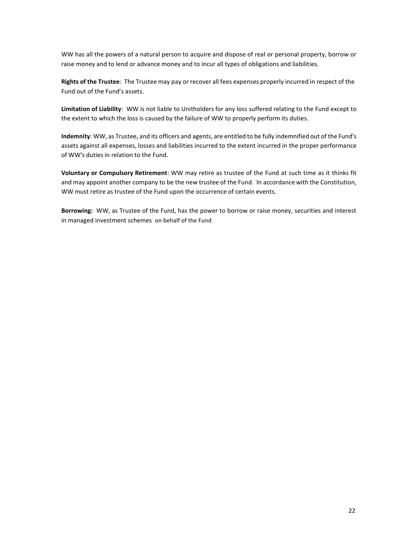WW has all the powers of a natural person to acquire and dispose of real or personal property, borrow or raise money and to lend or advance money and to incur all types of obligations and liabilities.

**Rights of the Trustee**: The Trustee may pay or recover all fees expenses properly incurred in respect of the Fund out of the Fund's assets.

**Limitation of Liability**: WW is not liable to Unitholders for any loss suffered relating to the Fund except to the extent to which the loss is caused by the failure of WW to properly perform its duties.

**Indemnity**: WW, as Trustee, and its officers and agents, are entitled to be fully indemnified out of the Fund's assets against all expenses, losses and liabilities incurred to the extent incurred in the proper performance of WW's duties in relation to the Fund.

**Voluntary or Compulsory Retirement**: WW may retire as trustee of the Fund at such time as it thinks fit and may appoint another company to be the new trustee of the Fund. In accordance with the Constitution, WW must retire as trustee of the Fund upon the occurrence of certain events.

**Borrowing:** WW, as Trustee of the Fund, has the power to borrow or raise money, securities and interest in managed investment schemes on behalf of the Fund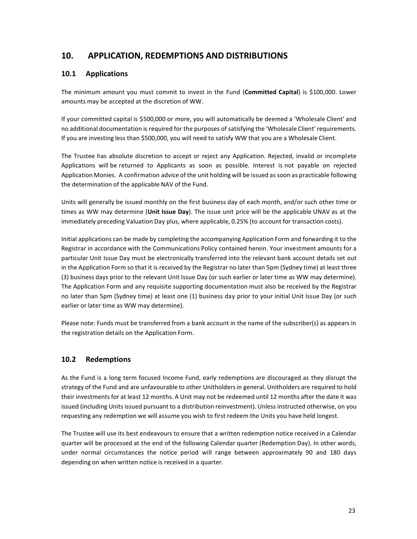# **10. APPLICATION, REDEMPTIONS AND DISTRIBUTIONS**

### **10.1 Applications**

The minimum amount you must commit to invest in the Fund (**Committed Capital**) is \$100,000. Lower amounts may be accepted at the discretion of WW.

If your committed capital is \$500,000 or more, you will automatically be deemed a 'Wholesale Client' and no additional documentation is required for the purposes of satisfying the 'Wholesale Client' requirements. If you are investing less than \$500,000, you will need to satisfy WW that you are a Wholesale Client.

The Trustee has absolute discretion to accept or reject any Application. Rejected, invalid or incomplete Applications will be returned to Applicants as soon as possible. Interest is not payable on rejected Application Monies. A confirmation advice of the unit holding will be issued assoon as practicable following the determination of the applicable NAV of the Fund.

Units will generally be issued monthly on the first business day of each month, and/or such other time or times as WW may determine (**Unit Issue Day**). The issue unit price will be the applicable UNAV as at the immediately preceding Valuation Day plus, where applicable, 0.25% (to account for transaction costs).

Initial applications can be made by completing the accompanying Application Form and forwarding it to the Registrar in accordance with the Communications Policy contained herein. Your investment amounts for a particular Unit Issue Day must be electronically transferred into the relevant bank account details set out in the Application Form so that it is received by the Registrar no later than 5pm (Sydney time) at least three (3) business days prior to the relevant Unit Issue Day (or such earlier or later time as WW may determine). The Application Form and any requisite supporting documentation must also be received by the Registrar no later than 5pm (Sydney time) at least one (1) business day prior to your initial Unit Issue Day (or such earlier or later time as WW may determine).

Please note: Funds must be transferred from a bank account in the name of the subscriber(s) as appears in the registration details on the Application Form.

### **10.2 Redemptions**

As the Fund is a long term focused Income Fund, early redemptions are discouraged as they disrupt the strategy of the Fund and are unfavourable to other Unitholdersin general. Unitholders are required to hold their investmentsfor at least 12 months. A Unit may not be redeemed until 12 months after the date it was issued (including Units issued pursuant to a distribution reinvestment). Unless instructed otherwise, on you requesting any redemption we will assume you wish to first redeem the Units you have held longest.

The Trustee will use its best endeavours to ensure that a written redemption notice received in a Calendar quarter will be processed at the end of the following Calendar quarter (Redemption Day). In other words, under normal circumstances the notice period will range between approximately 90 and 180 days depending on when written notice is received in a quarter.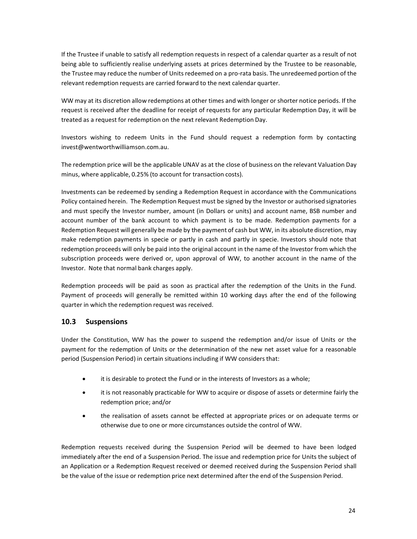If the Trustee if unable to satisfy all redemption requests in respect of a calendar quarter as a result of not being able to sufficiently realise underlying assets at prices determined by the Trustee to be reasonable, the Trustee may reduce the number of Units redeemed on a pro-rata basis. The unredeemed portion of the relevant redemption requests are carried forward to the next calendar quarter.

WW may at its discretion allow redemptions at other times and with longer or shorter notice periods. If the request is received after the deadline for receipt of requests for any particular Redemption Day, it will be treated as a request for redemption on the next relevant Redemption Day.

Investors wishing to redeem Units in the Fund should request a redemption form by contactin[g](mailto:invest@wentworthwilliamson.com.au) [invest@wentworthwilliamson.com.au.](mailto:invest@wentworthwilliamson.com.au)

The redemption price will be the applicable UNAV as at the close of business on the relevant Valuation Day minus, where applicable, 0.25% (to account for transaction costs).

Investments can be redeemed by sending a Redemption Request in accordance with the Communications Policy contained herein. The Redemption Request must be signed by the Investor or authorised signatories and must specify the Investor number, amount (in Dollars or units) and account name, BSB number and account number of the bank account to which payment is to be made. Redemption payments for a Redemption Request will generally be made by the payment of cash but WW, in its absolute discretion, may make redemption payments in specie or partly in cash and partly in specie. Investors should note that redemption proceeds will only be paid into the original account in the name of the Investor from which the subscription proceeds were derived or, upon approval of WW, to another account in the name of the Investor. Note that normal bank charges apply.

Redemption proceeds will be paid as soon as practical after the redemption of the Units in the Fund. Payment of proceeds will generally be remitted within 10 working days after the end of the following quarter in which the redemption request was received.

### **10.3 Suspensions**

Under the Constitution, WW has the power to suspend the redemption and/or issue of Units or the payment for the redemption of Units or the determination of the new net asset value for a reasonable period (Suspension Period) in certain situations including if WW considers that:

- it is desirable to protect the Fund or in the interests of Investors as a whole;
- it is not reasonably practicable for WW to acquire or dispose of assets or determine fairly the redemption price; and/or
- the realisation of assets cannot be effected at appropriate prices or on adequate terms or otherwise due to one or more circumstances outside the control of WW.

Redemption requests received during the Suspension Period will be deemed to have been lodged immediately after the end of a Suspension Period. The issue and redemption price for Units the subject of an Application or a Redemption Request received or deemed received during the Suspension Period shall be the value of the issue or redemption price next determined after the end of the Suspension Period.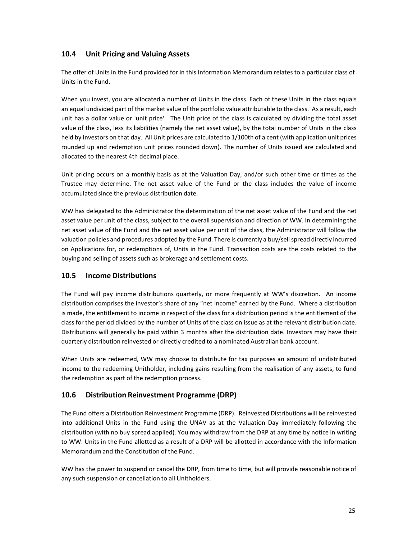### **10.4 Unit Pricing and Valuing Assets**

The offer of Units in the Fund provided for in this Information Memorandum relates to a particular class of Units in the Fund.

When you invest, you are allocated a number of Units in the class. Each of these Units in the class equals an equal undivided part of the market value of the portfolio value attributable to the class. As a result, each unit has a dollar value or 'unit price'. The Unit price of the class is calculated by dividing the total asset value of the class, less its liabilities (namely the net asset value), by the total number of Units in the class held by Investors on that day. All Unit prices are calculated to 1/100th of a cent (with application unit prices rounded up and redemption unit prices rounded down). The number of Units issued are calculated and allocated to the nearest 4th decimal place.

Unit pricing occurs on a monthly basis as at the Valuation Day, and/or such other time or times as the Trustee may determine. The net asset value of the Fund or the class includes the value of income accumulated since the previous distribution date.

WW has delegated to the Administrator the determination of the net asset value of the Fund and the net asset value per unit of the class, subject to the overall supervision and direction of WW. In determining the net asset value of the Fund and the net asset value per unit of the class, the Administrator will follow the valuation policies and procedures adopted by the Fund. There is currently a buy/sellspread directly incurred on Applications for, or redemptions of, Units in the Fund. Transaction costs are the costs related to the buying and selling of assets such as brokerage and settlement costs.

### **10.5 Income Distributions**

The Fund will pay income distributions quarterly, or more frequently at WW's discretion. An income distribution comprises the investor's share of any "net income" earned by the Fund. Where a distribution is made, the entitlement to income in respect of the class for a distribution period is the entitlement of the class for the period divided by the number of Units of the class on issue as at the relevant distribution date. Distributions will generally be paid within 3 months after the distribution date. Investors may have their quarterly distribution reinvested or directly credited to a nominated Australian bank account.

When Units are redeemed, WW may choose to distribute for tax purposes an amount of undistributed income to the redeeming Unitholder, including gains resulting from the realisation of any assets, to fund the redemption as part of the redemption process.

## **10.6 Distribution Reinvestment Programme (DRP)**

The Fund offers a Distribution Reinvestment Programme (DRP). Reinvested Distributions will be reinvested into additional Units in the Fund using the UNAV as at the Valuation Day immediately following the distribution (with no buy spread applied). You may withdraw from the DRP at any time by notice in writing to WW. Units in the Fund allotted as a result of a DRP will be allotted in accordance with the Information Memorandum and the Constitution of the Fund.

WW has the power to suspend or cancel the DRP, from time to time, but will provide reasonable notice of any such suspension or cancellation to all Unitholders.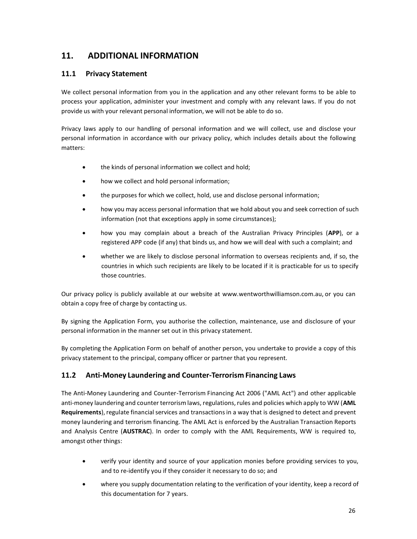# **11. ADDITIONAL INFORMATION**

### **11.1 Privacy Statement**

We collect personal information from you in the application and any other relevant forms to be able to process your application, administer your investment and comply with any relevant laws. If you do not provide us with your relevant personal information, we will not be able to do so.

Privacy laws apply to our handling of personal information and we will collect, use and disclose your personal information in accordance with our privacy policy, which includes details about the following matters:

- the kinds of personal information we collect and hold;
- how we collect and hold personal information;
- the purposes for which we collect, hold, use and disclose personal information;
- how you may access personal information that we hold about you and seek correction of such information (not that exceptions apply in some circumstances);
- how you may complain about a breach of the Australian Privacy Principles (**APP**), or a registered APP code (if any) that binds us, and how we will deal with such a complaint; and
- whether we are likely to disclose personal information to overseas recipients and, if so, the countries in which such recipients are likely to be located if it is practicable for us to specify those countries.

Our privacy policy is publicly available at our website at [www.wentworthwilliamson.com.au,](http://www.wentworthwilliamson.com.au/) or you can obtain a copy free of charge by contacting us.

By signing the Application Form, you authorise the collection, maintenance, use and disclosure of your personal information in the manner set out in this privacy statement.

By completing the Application Form on behalf of another person, you undertake to provide a copy of this privacy statement to the principal, company officer or partner that you represent.

## **11.2 Anti-Money Laundering and Counter-Terrorism Financing Laws**

The Anti-Money Laundering and Counter-Terrorism Financing Act 2006 ("AML Act") and other applicable anti-money laundering and counter terrorism laws, regulations,rules and policies which apply to WW (**AML**  Requirements), regulate financial services and transactions in a way that is designed to detect and prevent money laundering and terrorism financing. The AML Act is enforced by the Australian Transaction Reports and Analysis Centre (**AUSTRAC**). In order to comply with the AML Requirements, WW is required to, amongst other things:

- verify your identity and source of your application monies before providing services to you, and to re-identify you if they consider it necessary to do so; and
- where you supply documentation relating to the verification of your identity, keep a record of this documentation for 7 years.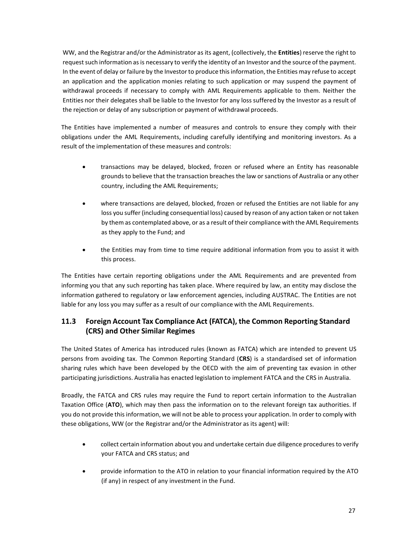WW, and the Registrar and/or the Administrator as its agent, (collectively, the **Entities**) reserve the right to request such information as is necessary to verify the identity of an Investor and the source of the payment. In the event of delay or failure by the Investor to produce this information, the Entities may refuse to accept an application and the application monies relating to such application or may suspend the payment of withdrawal proceeds if necessary to comply with AML Requirements applicable to them. Neither the Entities nor their delegates shall be liable to the Investor for any loss suffered by the Investor as a result of the rejection or delay of any subscription or payment of withdrawal proceeds.

The Entities have implemented a number of measures and controls to ensure they comply with their obligations under the AML Requirements, including carefully identifying and monitoring investors. As a result of the implementation of these measures and controls:

- transactions may be delayed, blocked, frozen or refused where an Entity has reasonable grounds to believe that the transaction breaches the law or sanctions of Australia or any other country, including the AML Requirements;
- where transactions are delayed, blocked, frozen or refused the Entities are not liable for any loss you suffer (including consequential loss) caused by reason of any action taken or not taken by them as contemplated above, or as a result of their compliance with the AML Requirements as they apply to the Fund; and
- the Entities may from time to time require additional information from you to assist it with this process.

The Entities have certain reporting obligations under the AML Requirements and are prevented from informing you that any such reporting has taken place. Where required by law, an entity may disclose the information gathered to regulatory or law enforcement agencies, including AUSTRAC. The Entities are not liable for any loss you may suffer as a result of our compliance with the AML Requirements.

## **11.3 Foreign Account Tax Compliance Act (FATCA), the Common Reporting Standard (CRS) and Other Similar Regimes**

The United States of America has introduced rules (known as FATCA) which are intended to prevent US persons from avoiding tax. The Common Reporting Standard (**CRS**) is a standardised set of information sharing rules which have been developed by the OECD with the aim of preventing tax evasion in other participating jurisdictions. Australia has enacted legislation to implement FATCA and the CRS in Australia.

Broadly, the FATCA and CRS rules may require the Fund to report certain information to the Australian Taxation Office (**ATO**), which may then pass the information on to the relevant foreign tax authorities. If you do not provide this information, we will not be able to process your application. In order to comply with these obligations, WW (or the Registrar and/or the Administrator as its agent) will:

- collect certain information about you and undertake certain due diligence procedures to verify your FATCA and CRS status; and
- provide information to the ATO in relation to your financial information required by the ATO (if any) in respect of any investment in the Fund.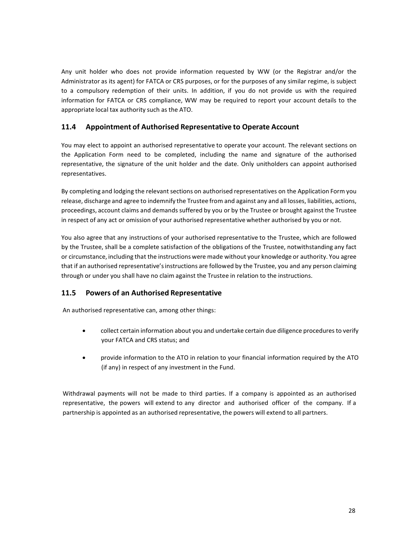Any unit holder who does not provide information requested by WW (or the Registrar and/or the Administrator as its agent) for FATCA or CRS purposes, or for the purposes of any similar regime, is subject to a compulsory redemption of their units. In addition, if you do not provide us with the required information for FATCA or CRS compliance, WW may be required to report your account details to the appropriate local tax authority such as the ATO.

### **11.4 Appointment of Authorised Representative to Operate Account**

You may elect to appoint an authorised representative to operate your account. The relevant sections on the Application Form need to be completed, including the name and signature of the authorised representative, the signature of the unit holder and the date. Only unitholders can appoint authorised representatives.

By completing and lodging the relevant sections on authorised representatives on the Application Form you release, discharge and agree to indemnify the Trustee from and against any and all losses, liabilities, actions, proceedings, account claims and demands suffered by you or by the Trustee or brought against the Trustee in respect of any act or omission of your authorised representative whether authorised by you or not.

You also agree that any instructions of your authorised representative to the Trustee, which are followed by the Trustee, shall be a complete satisfaction of the obligations of the Trustee, notwithstanding any fact or circumstance, including that the instructions were made without your knowledge or authority. You agree that if an authorised representative'sinstructions are followed by the Trustee, you and any person claiming through or under you shall have no claim against the Trustee in relation to the instructions.

### **11.5 Powers of an Authorised Representative**

An authorised representative can, among other things:

- collect certain information about you and undertake certain due diligence procedures to verify your FATCA and CRS status; and
- provide information to the ATO in relation to your financial information required by the ATO (if any) in respect of any investment in the Fund.

Withdrawal payments will not be made to third parties. If a company is appointed as an authorised representative, the powers will extend to any director and authorised officer of the company. If a partnership is appointed as an authorised representative, the powers will extend to all partners.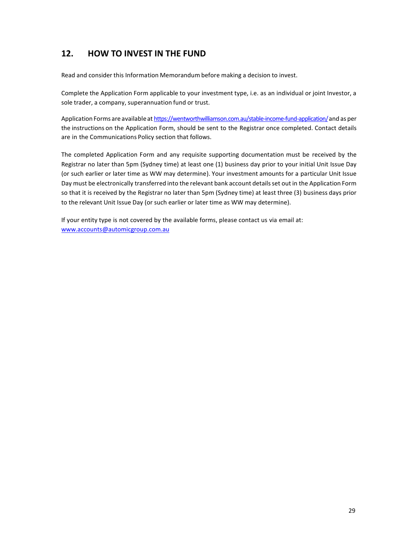# **12. HOW TO INVEST IN THE FUND**

Read and consider this Information Memorandum before making a decision to invest.

Complete the Application Form applicable to your investment type, i.e. as an individual or joint Investor, a sole trader, a company, superannuation fund or trust.

Application Forms are available at [https://wentworthwilliamson.com.au/stable-income-fund-application/a](https://wentworthwilliamson.com.au/stable-income-fund-application/)nd as per the instructions on the Application Form, should be sent to the Registrar once completed. Contact details are in the Communications Policy section that follows.

The completed Application Form and any requisite supporting documentation must be received by the Registrar no later than 5pm (Sydney time) at least one (1) business day prior to your initial Unit Issue Day (or such earlier or later time as WW may determine). Your investment amounts for a particular Unit Issue Day must be electronically transferred into the relevant bank account detailsset out in the Application Form so that it is received by the Registrar no later than 5pm (Sydney time) at least three (3) business days prior to the relevant Unit Issue Day (or such earlier or later time as WW may determine).

If your entity type is not covered by the available forms, please contact us via email at: [www.accounts@automicgroup.com.au](http://www.accounts@automicgroup.com.au)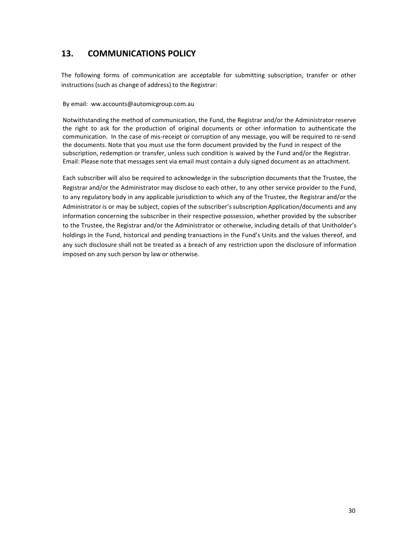# **13. COMMUNICATIONS POLICY**

The following forms of communication are acceptable for submitting subscription, transfer or other instructions(such as change of address) to the Registrar:

By email: ww.accounts@automicgroup.com.au

Notwithstanding the method of communication, the Fund, the Registrar and/or the Administrator reserve the right to ask for the production of original documents or other information to authenticate the communication. In the case of mis-receipt or corruption of any message, you will be required to re-send the documents. Note that you must use the form document provided by the Fund in respect of the subscription, redemption or transfer, unless such condition is waived by the Fund and/or the Registrar. Email: Please note that messages sent via email must contain a duly signed document as an attachment.

Each subscriber will also be required to acknowledge in the subscription documents that the Trustee, the Registrar and/or the Administrator may disclose to each other, to any other service provider to the Fund, to any regulatory body in any applicable jurisdiction to which any of the Trustee, the Registrar and/or the Administrator is or may be subject, copies of the subscriber'ssubscription Application/documents and any information concerning the subscriber in their respective possession, whether provided by the subscriber to the Trustee, the Registrar and/or the Administrator or otherwise, including details of that Unitholder's holdings in the Fund, historical and pending transactions in the Fund's Units and the values thereof, and any such disclosure shall not be treated as a breach of any restriction upon the disclosure of information imposed on any such person by law or otherwise.